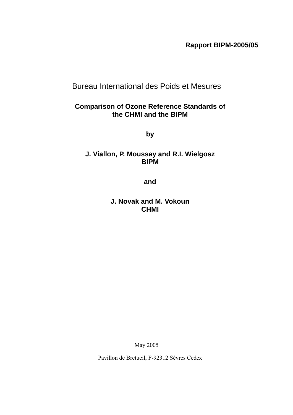**Rapport BIPM-2005/05** 

# Bureau International des Poids et Mesures

# **Comparison of Ozone Reference Standards of the CHMI and the BIPM**

**by** 

# **J. Viallon, P. Moussay and R.I. Wielgosz BIPM**

**and** 

**J. Novak and M. Vokoun CHMI** 

May 2005

Pavillon de Bretueil, F-92312 Sèvres Cedex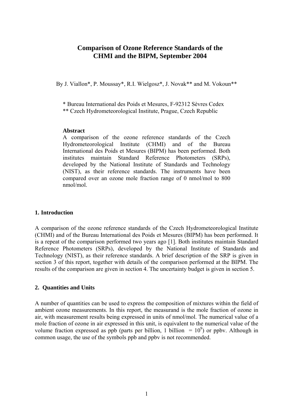# **Comparison of Ozone Reference Standards of the CHMI and the BIPM, September 2004**

By J. Viallon\*, P. Moussay\*, R.I. Wielgosz\*, J. Novak\*\* and M. Vokoun\*\*

\* Bureau International des Poids et Mesures, F-92312 Sèvres Cedex

\*\* Czech Hydrometeorological Institute, Prague, Czech Republic

#### **Abstract**

A comparison of the ozone reference standards of the Czech Hydrometeorological Institute (CHMI) and of the Bureau International des Poids et Mesures (BIPM) has been performed. Both institutes maintain Standard Reference Photometers (SRPs), developed by the National Institute of Standards and Technology (NIST), as their reference standards. The instruments have been compared over an ozone mole fraction range of 0 nmol/mol to 800 nmol/mol.

## **1. Introduction**

A comparison of the ozone reference standards of the Czech Hydrometeorological Institute (CHMI) and of the Bureau International des Poids et Mesures (BIPM) has been performed. It is a repeat of the comparison performed two years ago [1]. Both institutes maintain Standard Reference Photometers (SRPs), developed by the National Institute of Standards and Technology (NIST), as their reference standards. A brief description of the SRP is given in section 3 of this report, together with details of the comparison performed at the BIPM. The results of the comparison are given in section [4.](#page-4-0) The uncertainty budget is given in section [5.](#page-8-0)

## **2. Quantities and Units**

A number of quantities can be used to express the composition of mixtures within the field of ambient ozone measurements. In this report, the measurand is the mole fraction of ozone in air, with measurement results being expressed in units of nmol/mol. The numerical value of a mole fraction of ozone in air expressed in this unit, is equivalent to the numerical value of the volume fraction expressed as ppb (parts per billion, 1 billion  $= 10^9$ ) or ppbv. Although in common usage, the use of the symbols ppb and ppbv is not recommended.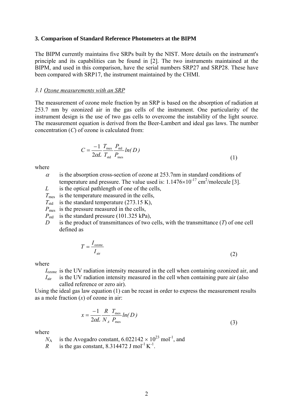#### **3. Comparison of Standard Reference Photometers at the BIPM**

The BIPM currently maintains five SRPs built by the NIST. More details on the instrument's principle and its capabilities can be found in [2]. The two instruments maintained at the BIPM, and used in this comparison, have the serial numbers SRP27 and SRP28. These have been compared with SRP17, the instrument maintained by the CHMI.

#### *3.1 Ozone measurements with an SRP*

The measurement of ozone mole fraction by an SRP is based on the absorption of radiation at 253.7 nm by ozonized air in the gas cells of the instrument. One particularity of the instrument design is the use of two gas cells to overcome the instability of the light source. The measurement equation is derived from the Beer-Lambert and ideal gas laws. The number concentration (*C*) of ozone is calculated from:

$$
C = \frac{-1}{2\alpha L} \frac{T_{\text{mes}}}{T_{\text{std}}} \frac{P_{\text{std}}}{P_{\text{mes}}} ln(D)
$$
\n(1)

where

- $\alpha$  is the absorption cross-section of ozone at 253.7nm in standard conditions of temperature and pressure. The value used is:  $1.1476 \times 10^{-17}$  cm<sup>2</sup>/molecule [3].
- *L* is the optical pathlength of one of the cells,
- *T*<sub>mes</sub> is the temperature measured in the cells,
- $T_{\text{std}}$  is the standard temperature (273.15 K),
- *P*<sub>mes</sub> is the pressure measured in the cells,
- $P_{\text{std}}$  is the standard pressure (101.325 kPa),
- *D* is the product of transmittances of two cells, with the transmittance (*T*) of one cell defined as

$$
T = \frac{I_{\text{ozone}}}{I_{\text{air}}}
$$
 (2)

where

*I*ozone is the UV radiation intensity measured in the cell when containing ozonized air, and

 $I_{\text{air}}$  is the UV radiation intensity measured in the cell when containing pure air (also called reference or zero air).

Using the ideal gas law equation (1) can be recast in order to express the measurement results as a mole fraction (*x*) of ozone in air:

$$
x = \frac{-1}{2\alpha L} \frac{R}{N_A} \frac{T_{\text{mes}}}{P_{\text{mes}}} \ln(D) \tag{3}
$$

where

$$
N_A
$$
 is the Avogadro constant, 6.022142 × 10<sup>23</sup> mol<sup>-1</sup>, and

*R* is the gas constant, 8.314472 J mol<sup>-1</sup> K<sup>-1</sup>.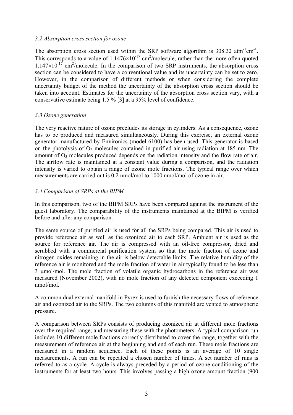# *3.2 Absorption cross section for ozone*

The absorption cross section used within the SRP software algorithm is  $308.32 \text{ atm}^{-1} \text{cm}^{-1}$ . This corresponds to a value of  $1.1476 \times 10^{-17}$  cm<sup>2</sup>/molecule, rather than the more often quoted  $1.147 \times 10^{-17}$  cm<sup>2</sup>/molecule. In the comparison of two SRP instruments, the absorption cross section can be considered to have a conventional value and its uncertainty can be set to zero. However, in the comparison of different methods or when considering the complete uncertainty budget of the method the uncertainty of the absorption cross section should be taken into account. Estimates for the uncertainty of the absorption cross section vary, with a conservative estimate being 1.5 % [3] at a 95% level of confidence.

## *3.3 Ozone generation*

The very reactive nature of ozone precludes its storage in cylinders. As a consequence, ozone has to be produced and measured simultaneously. During this exercise, an external ozone generator manufactured by Environics (model 6100) has been used. This generator is based on the photolysis of  $O_2$  molecules contained in purified air using radiation at 185 nm. The amount of  $O_3$  molecules produced depends on the radiation intensity and the flow rate of air. The airflow rate is maintained at a constant value during a comparison, and the radiation intensity is varied to obtain a range of ozone mole fractions. The typical range over which measurements are carried out is 0.2 nmol/mol to 1000 nmol/mol of ozone in air.

# *3.4 Comparison of SRPs at the BIPM*

In this comparison, two of the BIPM SRPs have been compared against the instrument of the guest laboratory. The comparability of the instruments maintained at the BIPM is verified before and after any comparison.

The same source of purified air is used for all the SRPs being compared. This air is used to provide reference air as well as the ozonized air to each SRP. Ambient air is used as the source for reference air. The air is compressed with an oil-free compressor, dried and scrubbed with a commercial purification system so that the mole fraction of ozone and nitrogen oxides remaining in the air is below detectable limits. The relative humidity of the reference air is monitored and the mole fraction of water in air typically found to be less than 3 µmol/mol. The mole fraction of volatile organic hydrocarbons in the reference air was measured (November 2002), with no mole fraction of any detected component exceeding 1 nmol/mol.

A common dual external manifold in Pyrex is used to furnish the necessary flows of reference air and ozonized air to the SRPs. The two columns of this manifold are vented to atmospheric pressure.

A comparison between SRPs consists of producing ozonized air at different mole fractions over the required range, and measuring these with the photometers. A typical comparison run includes 10 different mole fractions correctly distributed to cover the range, together with the measurement of reference air at the beginning and end of each run. These mole fractions are measured in a random sequence. Each of these points is an average of 10 single measurements. A run can be repeated a chosen number of times. A set number of runs is referred to as a cycle. A cycle is always preceded by a period of ozone conditioning of the instruments for at least two hours. This involves passing a high ozone amount fraction (900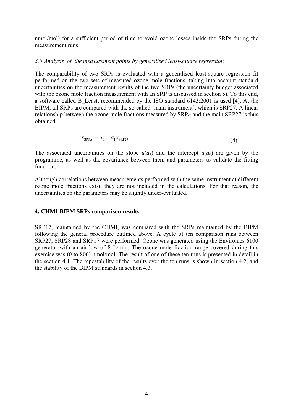nmol/mol) for a sufficient period of time to avoid ozone losses inside the SRPs during the measurement runs.

## *3.5 Analysis of the measurement points by generalised least-square regression*

The comparability of two SRPs is evaluated with a generalised least-square regression fit performed on the two sets of measured ozone mole fractions, taking into account standard uncertainties on the measurement results of the two SRPs (the uncertainty budget associated with the ozone mole fraction measurement with an SRP is discussed in section [5\)](#page-8-0). To this end, a software called B\_Least, recommended by the ISO standard 6143:2001 is used [4]. At the BIPM, all SRPs are compared with the so-called 'main instrument', which is SRP27. A linear relationship between the ozone mole fractions measured by SRP*n* and the main SRP27 is thus obtained:

$$
x_{\text{SRP}n} = a_0 + a_1 x_{\text{SRP}27}
$$
 (4)

The associated uncertainties on the slope  $u(a_1)$  and the intercept  $u(a_0)$  are given by the programme, as well as the covariance between them and parameters to validate the fitting function.

Although correlations between measurements performed with the same instrument at different ozone mole fractions exist, they are not included in the calculations. For that reason, the uncertainties on the parameters may be slightly under-evaluated.

# <span id="page-4-0"></span>**4. CHMI-BIPM SRPs comparison results**

SRP17, maintained by the CHMI, was compared with the SRPs maintained by the BIPM following the general procedure outlined above. A cycle of ten comparison runs between SRP27, SRP28 and SRP17 were performed. Ozone was generated using the Environics 6100 generator with an airflow of 8 L/min. The ozone mole fraction range covered during this exercise was (0 to 800) nmol/mol. The result of one of these ten runs is presented in detail in the section [4.1.](#page-5-0) The repeatability of the results over the ten runs is shown in section [4.2,](#page-7-0) and the stability of the BIPM standards in section [4.3.](#page-7-1)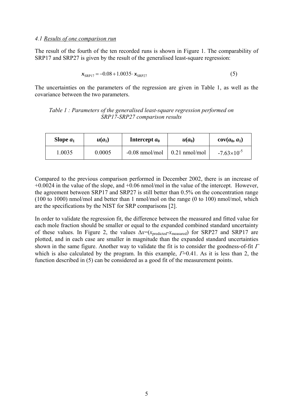## <span id="page-5-0"></span>*4.1 Results of one comparison run*

The result of the fourth of the ten recorded runs is shown in Figure 1. The comparability of SRP17 and SRP27 is given by the result of the generalised least-square regression:

$$
x_{SRP17} = -0.08 + 1.0035 \cdot x_{SRP27} \tag{5}
$$

The uncertainties on the parameters of the regression are given in [Table 1,](#page-5-1) as well as the covariance between the two parameters.

## <span id="page-5-1"></span>*Table 1 : Parameters of the generalised least-square regression performed on SRP17-SRP27 comparison results*

| Slope $a_1$ | $u(a_1)$ | Intercept $a_0$  | $u(a_0)$                | $cov(a_0, a_1)$      |
|-------------|----------|------------------|-------------------------|----------------------|
| .0035       | 0.0005   | $-0.08$ nmol/mol | $0.21 \text{ nmol/mol}$ | $-7.63\times10^{-5}$ |

Compared to the previous comparison performed in December 2002, there is an increase of  $+0.0024$  in the value of the slope, and  $+0.06$  nmol/mol in the value of the intercept. However, the agreement between SRP17 and SRP27 is still better than 0.5% on the concentration range (100 to 1000) nmol/mol and better than 1 nmol/mol on the range (0 to 100) nmol/mol, which are the specifications by the NIST for SRP comparisons [2].

In order to validate the regression fit, the difference between the measured and fitted value for each mole fraction should be smaller or equal to the expanded combined standard uncertainty of these values. In [Figure 2,](#page-6-0) the values ∆*x*=(*x*predicted-*x*measured) for SRP27 and SRP17 are plotted, and in each case are smaller in magnitude than the expanded standard uncertainties shown in the same figure. Another way to validate the fit is to consider the goodness-of-fit  $\Gamma$ which is also calculated by the program. In this example,  $\Gamma=0.41$ . As it is less than 2, the function described in (5) can be considered as a good fit of the measurement points.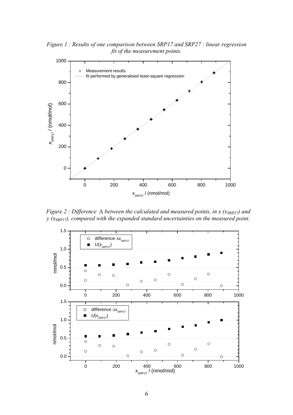*Figure 1 : Results of one comparison between SRP17 and SRP27 : linear regression fit of the measurement points.* 



<span id="page-6-0"></span>*Figure 2 : Difference ∆ between the calculated and measured points, in x (x<sub>SRP27</sub>) and y* ( $x_{\text{SRPI7}}$ ), compared with the expanded standard uncertainties on the measured point.

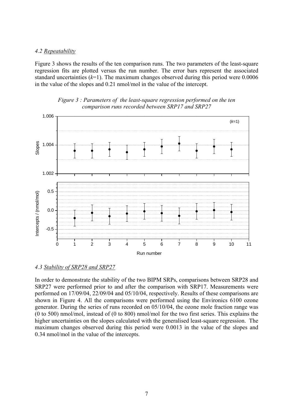#### <span id="page-7-0"></span>*4.2 Repeatability*

[Figure 3](#page-7-2) shows the results of the ten comparison runs. The two parameters of the least-square regression fits are plotted versus the run number. The error bars represent the associated standard uncertainties  $(k=1)$ . The maximum changes observed during this period were 0.0006 in the value of the slopes and 0.21 nmol/mol in the value of the intercept.



<span id="page-7-2"></span>

#### <span id="page-7-1"></span>*4.3 Stability of SRP28 and SRP27*

In order to demonstrate the stability of the two BIPM SRPs, comparisons between SRP28 and SRP27 were performed prior to and after the comparison with SRP17. Measurements were performed on 17/09/04, 22/09/04 and 05/10/04, respectively. Results of these comparisons are shown in [Figure 4.](#page-8-1) All the comparisons were performed using the Environics 6100 ozone generator. During the series of runs recorded on 05/10/04, the ozone mole fraction range was (0 to 500) nmol/mol, instead of (0 to 800) nmol/mol for the two first series. This explains the higher uncertainties on the slopes calculated with the generalised least-square regression. The maximum changes observed during this period were 0.0013 in the value of the slopes and 0.34 nmol/mol in the value of the intercepts.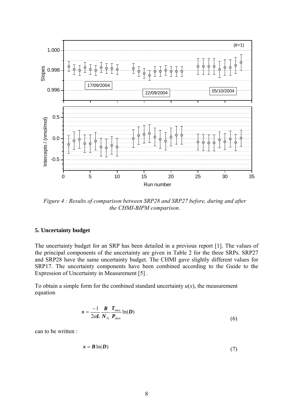<span id="page-8-1"></span>

*Figure 4 : Results of comparison between SRP28 and SRP27 before, during and after the CHMI-BIPM comparison.* 

### <span id="page-8-0"></span>**5. Uncertainty budget**

The uncertainty budget for an SRP has been detailed in a previous report [1]. The values of the principal components of the uncertainty are given in [Table 2](#page-9-0) for the three SRPs. SRP27 and SRP28 have the same uncertainty budget. The CHMI gave slightly different values for SRP17. The uncertainty components have been combined according to the Guide to the Expression of Uncertainty in Measurement [5] .

To obtain a simple form for the combined standard uncertainty  $u(x)$ , the measurement equation

$$
x = \frac{-1}{2\alpha L} \frac{R}{N_A} \frac{T_{\text{mes}}}{P_{\text{mes}}} \ln(D) \tag{6}
$$

can to be written :

$$
x = B \ln(D) \tag{7}
$$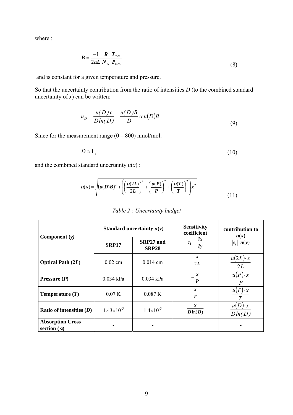where :

$$
B = \frac{-1}{2\alpha L} \frac{R}{N_A} \frac{T_{\text{mes}}}{P_{\text{mes}}} \tag{8}
$$

and is constant for a given temperature and pressure.

So that the uncertainty contribution from the ratio of intensities *D* (to the combined standard uncertainty of  $x$ ) can be written:

$$
u_D = \frac{u(D)x}{D\ln(D)} = \frac{u(D)B}{D} \approx u(D)B
$$
\n(9)

Since for the measurement range  $(0 - 800)$  nmol/mol:

$$
D \approx 1,\tag{10}
$$

and the combined standard uncertainty  $u(x)$ :

<span id="page-9-0"></span>
$$
u(x) = \sqrt{\left(u(D)B\right)^2 + \left(\left(\frac{u(2L)}{2L}\right)^2 + \left(\frac{u(P)}{P}\right)^2 + \left(\frac{u(T)}{T}\right)^2\right)x^2}
$$
(11)

| Table 2 : Uncertainty budget |  |
|------------------------------|--|
|                              |  |

|                                               | Standard uncertainty $u(y)$ |                           | <b>Sensitivity</b><br>coefficient     | contribution to<br>u(x) |
|-----------------------------------------------|-----------------------------|---------------------------|---------------------------------------|-------------------------|
| Component $(y)$                               | <b>SRP17</b>                | SRP27 and<br><b>SRP28</b> | $c_i = \frac{\partial x}{\partial y}$ | $ c_i  \cdot u(y)$      |
| <b>Optical Path (2L)</b>                      | $0.02$ cm                   | $0.014$ cm                | $\frac{x}{-}$<br>2L                   | $u(2L) \cdot x$<br>2L   |
| Pressure $(P)$                                | $0.034$ kPa                 | $0.034$ kPa               | $\frac{x}{-}$<br>$\boldsymbol{P}$     | $u(P) \cdot x$          |
| Temperature $(T)$                             | 0.07K                       | 0.087K                    | $\frac{x}{T}$                         | $u(T) \cdot x$          |
| Ratio of intensities $(D)$                    | $1.43\times10^{-5}$         | $1.4 \times 10^{-5}$      | $\boldsymbol{x}$<br>$D\ln(D)$         | $D \cdot x$<br>Dln(D)   |
| <b>Absorption Cross</b><br>section $(\alpha)$ |                             |                           |                                       |                         |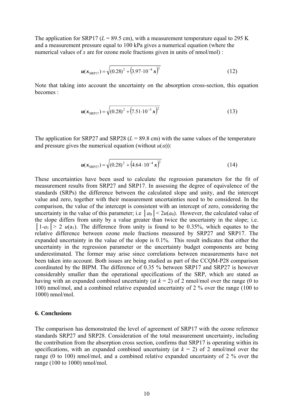The application for SRP17 ( $L = 89.5$  cm), with a measurement temperature equal to 295 K and a measurement pressure equal to 100 kPa gives a numerical equation (where the numerical values of *x* are for ozone mole fractions given in units of nmol/mol) :

$$
u(x_{SRPI7}) = \sqrt{(0.28)^2 + (3.97 \cdot 10^{-4} \,\mathrm{x})^2}
$$
 (12)

Note that taking into account the uncertainty on the absorption cross-section, this equation becomes :

$$
u(x_{\text{SRPI7}}) = \sqrt{(0.28)^2 + (7.51 \cdot 10^{-3} x)^2}
$$
 (13)

The application for SRP27 and SRP28  $(L = 89.8 \text{ cm})$  with the same values of the temperature and pressure gives the numerical equation (without  $u(\alpha)$ ):

$$
u(x_{\text{SRP27}}) = \sqrt{(0.28)^2 + (4.64 \cdot 10^{-4} \,\text{x})^2}
$$
 (14)

These uncertainties have been used to calculate the regression parameters for the fit of measurement results from SRP27 and SRP17. In assessing the degree of equivalence of the standards (SRPs) the difference between the calculated slope and unity, and the intercept value and zero, together with their measurement uncertainties need to be considered. In the comparison, the value of the intercept is consistent with an intercept of zero, considering the uncertainty in the value of this parameter; i.e  $|a_0| < 2u(a_0)$ . However, the calculated value of the slope differs from unity by a value greater than twice the uncertainty in the slope; i.e.  $|1-a_1| > 2$  *u*(a<sub>1</sub>). The difference from unity is found to be 0.35%, which equates to the relative difference between ozone mole fractions measured by SRP27 and SRP17. The expanded uncertainty in the value of the slope is 0.1%. This result indicates that either the uncertainty in the regression parameter or the uncertainty budget components are being underestimated. The former may arise since correlations between measurements have not been taken into account. Both issues are being studied as part of the CCQM-P28 comparison coordinated by the BIPM. The difference of 0.35 % between SRP17 and SRP27 is however considerably smaller than the operational specifications of the SRP, which are stated as having with an expanded combined uncertainty (at  $k = 2$ ) of 2 nmol/mol over the range (0 to 100) nmol/mol, and a combined relative expanded uncertainty of 2 % over the range (100 to 1000) nmol/mol.

#### **6. Conclusions**

The comparison has demonstrated the level of agreement of SRP17 with the ozone reference standards SRP27 and SRP28. Consideration of the total measurement uncertainty, including the contribution from the absorption cross section, confirms that SRP17 is operating within its specifications, with an expanded combined uncertainty (at  $k = 2$ ) of 2 nmol/mol over the range (0 to 100) nmol/mol, and a combined relative expanded uncertainty of 2 % over the range (100 to 1000) nmol/mol.